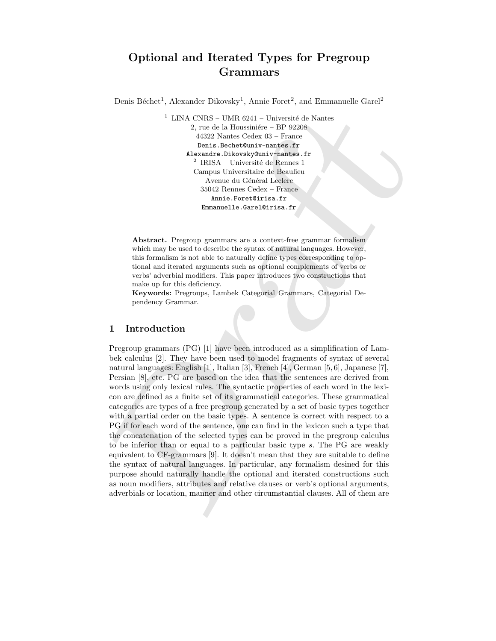# Optional and Iterated Types for Pregroup Grammars

Denis Béchet<sup>1</sup>, Alexander Dikovsky<sup>1</sup>, Annie Foret<sup>2</sup>, and Emmanuelle Garel<sup>2</sup>

 $^{\rm 1}$  LINA CNRS – UMR 6241 – Université de Nantes 2, rue de la Houssiniére – BP 92208 44322 Nantes Cedex 03 – France Denis.Bechet@univ-nantes.fr Alexandre.Dikovsky@univ-nantes.fr  $2$  IRISA – Université de Rennes 1 Campus Universitaire de Beaulieu Avenue du Général Leclerc 35042 Rennes Cedex – France Annie.Foret@irisa.fr Emmanuelle.Garel@irisa.fr

Abstract. Pregroup grammars are a context-free grammar formalism which may be used to describe the syntax of natural languages. However, this formalism is not able to naturally define types corresponding to optional and iterated arguments such as optional complements of verbs or verbs' adverbial modifiers. This paper introduces two constructions that make up for this deficiency.

Keywords: Pregroups, Lambek Categorial Grammars, Categorial Dependency Grammar.

## 1 Introduction

 $^1$ LINA CNIS (UME 6241 Université de Nantes  $2$ , me<br/> $\Delta$ , me $^{12}$  kursiconiente de l'Internacionale de l'Internacionale<br/> $\Delta$  Dramatical constructions of the state of the state<br/> $\Delta$  DRS (Risk - Université de Pregroup grammars (PG) [1] have been introduced as a simplification of Lambek calculus [2]. They have been used to model fragments of syntax of several natural languages: English [1], Italian [3], French [4], German [5, 6], Japanese [7], Persian [8], etc. PG are based on the idea that the sentences are derived from words using only lexical rules. The syntactic properties of each word in the lexicon are defined as a finite set of its grammatical categories. These grammatical categories are types of a free pregroup generated by a set of basic types together with a partial order on the basic types. A sentence is correct with respect to a PG if for each word of the sentence, one can find in the lexicon such a type that the concatenation of the selected types can be proved in the pregroup calculus to be inferior than or equal to a particular basic type s. The PG are weakly equivalent to CF-grammars [9]. It doesn't mean that they are suitable to define the syntax of natural languages. In particular, any formalism desined for this purpose should naturally handle the optional and iterated constructions such as noun modifiers, attributes and relative clauses or verb's optional arguments, adverbials or location, manner and other circumstantial clauses. All of them are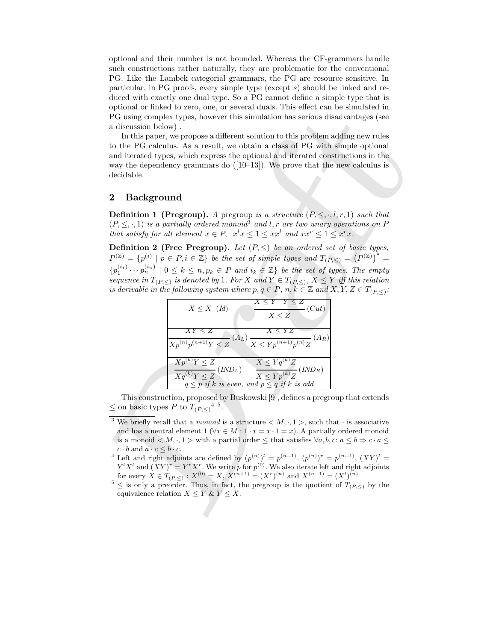optional and their number is not bounded. Whereas the CF-grammars handle such constructions rather naturally, they are problematic for the conventional PG. Like the Lambek categorial grammars, the PG are resource sensitive. In particular, in PG proofs, every simple type (except s) should be linked and reduced with exactly one dual type. So a PG cannot define a simple type that is optional or linked to zero, one, or several duals. This effect can be simulated in PG using complex types, however this simulation has serious disadvantages (see a discussion below) .

In this paper, we propose a different solution to this problem adding new rules to the PG calculus. As a result, we obtain a class of PG with simple optional and iterated types, which express the optional and iterated constructions in the way the dependency grammars do  $([10-13])$ . We prove that the new calculus is decidable.

## 2 Background

**Definition 1 (Pregroup).** A pregroup is a structure  $(P, \leq, \cdot, l, r, 1)$  such that  $(P, \leq, \cdot, 1)$  is a partially ordered monoid<sup>3</sup> and l, r are two unary operations on P that satisfy for all element  $x \in P$ ,  $x^l x \leq 1 \leq xx^l$  and  $xx^r \leq 1 \leq x^r x$ .

Definition 2 (Free Pregroup). Let  $(P, \leq)$  be an ordered set of basic types,  $P^{(\mathbb{Z})} = \{p^{(i)} \mid p \in P, i \in \mathbb{Z}\}\$ be the set of simple types and  $T_{(P,\leq)} = (P^{(\mathbb{Z})})^* =$  ${p_1^{(i_1)} \cdots p_n^{(i_n)} \mid 0 \leq k \leq n, p_k \in P \text{ and } i_k \in \mathbb{Z}}$  be the set of types. The empty sequence in  $T_{(P,\leq)}$  is denoted by 1. For X and  $Y \in T_{(P,\leq)}$ ,  $X \leq Y$  iff this relation is derivable in the following system where  $p, q \in P$ ,  $n, k \in \mathbb{Z}$  and  $X, Y, Z \in T_{(P, \leq)}$ :



This construction, proposed by Buskowski [9], defines a pregroup that extends  $\leq$  on basic types P to  $T_{(P,\leq)}$ <sup>4 5</sup>.

- <sup>4</sup> Left and right adjoints are defined by  $(p^{(n)})^l = p^{(n-1)}$ ,  $(p^{(n)})^r = p^{(n+1)}$ ,  $(XY)^l =$  $Y^l X^l$  and  $(XY)^r = Y^r X^r$ . We write p for  $p^{(0)}$ . We also iterate left and right adjoints for every  $X \in T_{(P,\le)} : X^{(0)} = X, X^{(n+1)} = (X^r)^{(n)}$  and  $X^{(n-1)} = (X^l)^{(n)}$
- $5 \le$  is only a preorder. Thus, in fact, the pregroup is the quotient of  $T_{(P,\le)}$  by the equivalence relation  $X \leq Y \& Y \leq X$ .

<sup>&</sup>lt;sup>3</sup> We briefly recall that a *monoid* is a structure  $\langle M, \cdot, 1 \rangle$ , such that  $\cdot$  is associative and has a neutral element 1 ( $\forall x \in M : 1 \cdot x = x \cdot 1 = x$ ). A partially ordered monoid is a monoid  $\langle M, \cdot, 1 \rangle$  with a partial order  $\leq$  that satisfies  $\forall a, b, c: a \leq b \Rightarrow c \cdot a \leq$  $c \cdot b$  and  $a \cdot c \leq b \cdot c$ .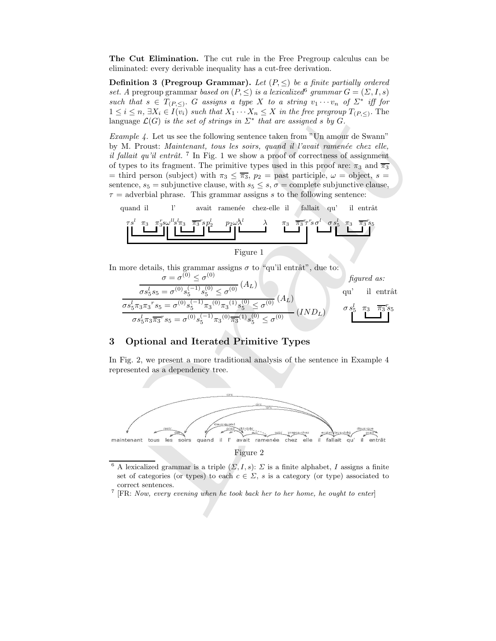The Cut Elimination. The cut rule in the Free Pregroup calculus can be eliminated: every derivable inequality has a cut-free derivation.

**Definition 3 (Pregroup Grammar).** Let  $(P, \leq)$  be a finite partially ordered set. A pregroup grammar based on  $(P, \leq)$  is a lexicalized grammar  $G = (\Sigma, I, s)$ such that  $s \in T_{(P,\leq)}$ . G assigns a type X to a string  $v_1 \cdots v_n$  of  $\Sigma^*$  iff for  $1 \leq i \leq n$ ,  $\exists X_i \in I(v_i)$  such that  $X_1 \cdots X_n \leq X$  in the free pregroup  $T_{(P,\leq)}$ . The language  $\mathcal{L}(G)$  is the set of strings in  $\Sigma^*$  that are assigned s by G.

1  $\leq i \leq m$ ,  $\overline{n} \leq \overline{n}$  ( $K_0 = \overline{n}$ ) ( $K_1 = \overline{n}$ ) ( $K_2 = \overline{n}$ ) ( $K_3 = \overline{n}$ ) ( $K_4 = \overline{n}$ ) ( $K_5 = \overline{n}$ ) ( $K_6 = \overline{n}$ ) ( $K_7 = \overline{n}$ ) ( $K_8 = \overline{n}$ ) ( $K_1 = \overline{n}$ ) ( $K_2 = \overline{n}$ ) ( $K_3 = \overline{n}$ ) ( $K_4 = \overline{n}$ ) ( $K_5 = \overline$ *Example 4.* Let us see the following sentence taken from "Un amour de Swann" by M. Proust: Maintenant, tous les soirs, quand il l'avait ramenée chez elle, il fallait qu'il entrât. <sup>7</sup> In Fig. 1 we show a proof of correctness of assignment of types to its fragment. The primitive types used in this proof are:  $\pi_3$  and  $\overline{\pi_3}$ = third person (subject) with  $\pi_3 \leq \overline{\pi_3}$ ,  $p_2$  = past participle,  $\omega$  = object, s = sentence,  $s_5$  = subjunctive clause, with  $s_5 \leq s$ ,  $\sigma$  = complete subjunctive clause.  $\tau$  = adverbial phrase. This grammar assigns s to the following sentence:

quand il l' avait ramenée chez-elle il fallait qu' il entrât



In more details, this grammar assigns  $\sigma$  to "qu'il entrât", due to:



### 3 Optional and Iterated Primitive Types

In Fig. 2, we present a more traditional analysis of the sentence in Example 4 represented as a dependency tree.



Figure 2

- <sup>6</sup> A lexicalized grammar is a triple  $(\Sigma, I, s)$ :  $\Sigma$  is a finite alphabet, I assigns a finite set of categories (or types) to each  $c \in \Sigma$ , s is a category (or type) associated to correct sentences.
- <sup>7</sup>  $[FR: Now, every evening when he took back her to her home, he ought to enter]$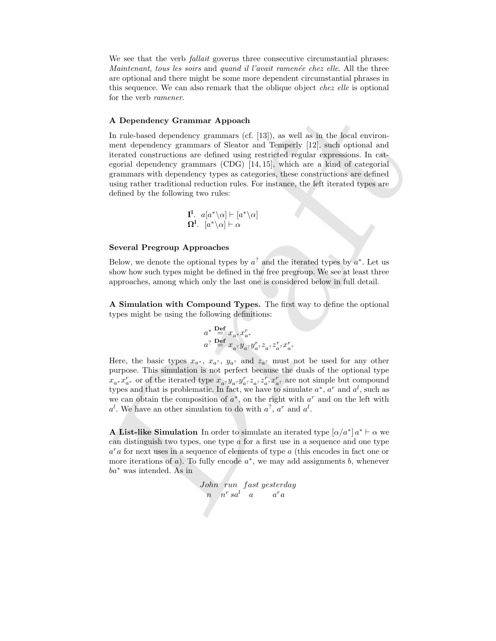We see that the verb *fallait* governs three consecutive circumstantial phrases: Maintenant, tous les soirs and quand il l'avait ramenée chez elle. All the three are optional and there might be some more dependent circumstantial phrases in this sequence. We can also remark that the oblique object chez elle is optional for the verb ramener.

### A Dependency Grammar Appoach

A Dependency Grammar Apposch<br>
in nul-based dependency grammas (ff. [13]), as well as in the focal environment dependency grammas of Sleator and Tempelty [12], such optional and<br>
iterated constructions are defined using re In rule-based dependency grammars (cf. [13]), as well as in the local environment dependency grammars of Sleator and Temperly [12], such optional and iterated constructions are defined using restricted regular expressions. In categorial dependency grammars (CDG) [14, 15], which are a kind of categorial grammars with dependency types as categories, these constructions are defined using rather traditional reduction rules. For instance, the left iterated types are defined by the following two rules:

$$
\mathbf{I}^{\mathbf{l}}.\ \ a[a^*\backslash \alpha] \vdash [a^*\backslash \alpha] \mathbf{\Omega}^{\mathbf{l}}.\ \ [a^*\backslash \alpha] \vdash \alpha
$$

#### Several Pregroup Approaches

Below, we denote the optional types by  $a^2$  and the iterated types by  $a^*$ . Let us show how such types might be defined in the free pregroup. We see at least three approaches, among which only the last one is considered below in full detail.

A Simulation with Compound Types. The first way to define the optional types might be using the following definitions:

$$
\begin{array}{l}a^*\stackrel{\mathbf{Def}}{=}x_{a^*}x_{a^*}^r\\a^? \stackrel{\mathbf{Def}}{=}x_{a^?}y_{a^?}y_{a^?}^rz_{a^?}z_{a^?}^r x_{a^?}^r\end{array}
$$

Here, the basic types  $x_{a^*}$ ,  $x_{a^?}$ ,  $y_{a^?}$  and  $z_{a^?}$  must not be used for any other purpose. This simulation is not perfect because the duals of the optional type  $x_{a^*}x_{a^*}^r$  or of the iterated type  $x_{a^2}y_{a^2}y_{a^2}^r z_{a^2}z_{a^2}^r x_{a^2}^r$  are not simple but compound types and that is problematic. In fact, we have to simulate  $a^*$ ,  $a^r$  and  $a^l$ , such as we can obtain the composition of  $a^*$ , on the right with  $a^r$  and on the left with  $a^l$ . We have an other simulation to do with  $a^2$ ,  $a^r$  and  $a^l$ .

**A List-like Simulation** In order to simulate an iterated type  $\left[\alpha/a^*\right]a^* \vdash \alpha$  we can distinguish two types, one type  $\alpha$  for a first use in a sequence and one type  $a^ra$  for next uses in a sequence of elements of type  $a$  (this encodes in fact one or more iterations of  $a$ ). To fully encode  $a^*$ , we may add assignments  $b$ , whenever ba<sup>∗</sup> was intended. As in

```
John run fast yesterday
  n \quad n^r\, s a^l \quad a \qquad aa^ra
```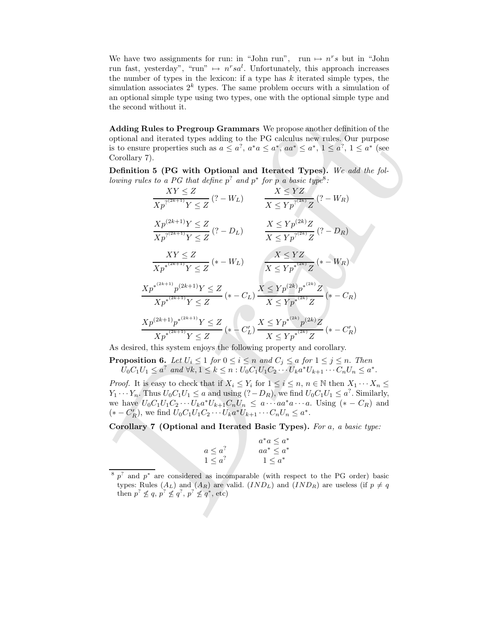We have two assignments for run: in "John run", run  $\mapsto$   $n^r s$  but in "John run fast, yesterday", "run"  $\mapsto$   $n^rsa^l$ . Unfortunately, this approach increases the number of types in the lexicon: if a type has  $k$  iterated simple types, the simulation associates  $2^k$  types. The same problem occurs with a simulation of an optional simple type using two types, one with the optional simple type and the second without it.

Adding Rules to Pregroup Grammars We propose another definition of the optional and iterated types adding to the PG calculus new rules. Our purpose is to ensure properties such as  $a \leq a^?$ ,  $a^*a \leq a^*$ ,  $aa^* \leq a^*$ ,  $1 \leq a^?$ ,  $1 \leq a^*$  (see Corollary 7).

Definition 5 (PG with Optional and Iterated Types). We add the following rules to a PG that define  $p^2$  and  $p^*$  for p a basic type<sup>8</sup>:

Adding Rules to Pregroup Grammars We propose another definition of the  
optimal and iterated types adding to the PG calculus new rules. Our purpose  
is to ensure properties such as 
$$
a \le a^7
$$
,  $a^*a \le a^*, aa^* \le a^*, 1 \le a^7$ ,  $1 \le a^*$  (see  
Corollary 7).  
Definition 5 (PG with Optional and Iterated Types). We add the fol-  
lowing rules to a PG that define  $p^7$  and  $p^*$  for p a basic type<sup>8</sup>:  
 $XY \leq Z$   
 $\overline{X}p^{7(2k+1)}Y \leq Z$   
 $\overline{X}p^{7(2k+1)}Y \leq Z$   
 $\overline{X}p^{7(2k+1)}Y \leq Z$   
 $\overline{X}p^{7(2k+1)}Y \leq Z$   
 $\overline{X}p^{7(2k+1)}Y \leq Z$   
 $\overline{X}p^{7(2k+1)}Y \leq Z$   
 $\overline{X}p^{7(2k+1)}Y \leq Z$   
 $\overline{X}p^{7(2k+1)}Y \leq Z$   
 $\overline{X}p^{7(2k+1)}Y \leq Z$   
 $\overline{X}p^{7(2k+1)}Y \leq Z$   
 $\overline{X}p^{7(2k+1)}Y \leq Z$   
 $\overline{X}p^{7(2k+1)}Y \leq Z$   
 $\overline{X}p^{4(k+1)}Y \leq Z$   
 $\overline{X}p^{4(k+1)}Y \leq Z$   
 $\overline{X}p^{4(k+1)}Y \leq Z$   
 $\overline{X}p^{4(k+1)}Y \leq Z$   
 $\overline{X}p^{4(k+1)}Y \leq Z$   
 $\overline{X}p^{4(k+1)}Y \leq Z$   
 $\overline{X}p^{4(k+1)}Y \leq Z$   
 $\overline{X}p^{4(k+1)}Y \leq Z$   
 $\overline{X}p^{4(k+1)}Y \leq Z$   
 $\overline{X}p^{4(k+1)}Y \leq Z$   
 $\overline{X}p^{4(k+1)}Y \leq Z$   
 $\overline{X}p^{4(k+1)}$ 

As desired, this system enjoys the following property and corollary.

**Proposition 6.** Let  $U_i \leq 1$  for  $0 \leq i \leq n$  and  $C_j \leq a$  for  $1 \leq j \leq n$ . Then  $U_0C_1U_1 \le a^?$  and  $\forall k, 1 \le k \le n : U_0C_1U_1C_2 \cdots U_ka^*U_{k+1} \cdots C_nU_n \le a^*.$ 

*Proof.* It is easy to check that if  $X_i \leq Y_i$  for  $1 \leq i \leq n, n \in \mathbb{N}$  then  $X_1 \cdots X_n \leq Y_i$  $Y_1 \cdots Y_n$ . Thus  $U_0 C_1 U_1 \le a$  and using  $(? - D_R)$ , we find  $U_0 C_1 U_1 \le a^?$ . Similarly, we have  $U_0C_1U_1C_2\cdots U_ka^*U_{k+1}C_nU_n \le a\cdots aa^*a\cdots a$ . Using  $(*-C_R)$  and  $(* - C'_R)$ , we find  $U_0C_1U_1C_2\cdots U_k a^*U_{k+1}\cdots C_nU_n \le a^*$ .

Corollary 7 (Optional and Iterated Basic Types). For a, a basic type:

$$
\begin{array}{c}\n a \leq a^? \\
 1 \leq a^? \\
 \end{array}\n\qquad\n\begin{array}{c}\n a^*a \leq a^* \\
 aa^* \leq a^* \\
 1 \leq a^*\n\end{array}
$$

 $8p^2$  and  $p^*$  are considered as incomparable (with respect to the PG order) basic types: Rules  $(A_L)$  and  $(A_R)$  are valid.  $(IND_L)$  and  $(IND_R)$  are useless (if  $p \neq q$ then  $p^? \nleq q, p^? \nleq q^?, p^? \nleq q^*,$  etc)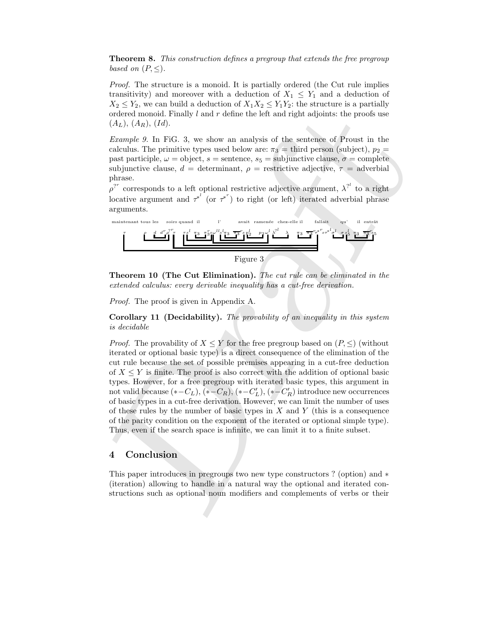Theorem 8. This construction defines a pregroup that extends the free pregroup based on  $(P, \leq)$ .

Proof. The structure is a monoid. It is partially ordered (the Cut rule implies transitivity) and moreover with a deduction of  $X_1 \leq Y_1$  and a deduction of  $X_2 \leq Y_2$ , we can build a deduction of  $X_1X_2 \leq Y_1Y_2$ : the structure is a partially ordered monoid. Finally  $l$  and  $r$  define the left and right adjoints: the proofs use  $(A_L)$ ,  $(A_R)$ ,  $(Id)$ .

Example 9. In FiG. 3, we show an analysis of the sentence of Proust in the calculus. The primitive types used below are:  $\pi_3$  = third person (subject),  $p_2$  = past participle,  $\omega =$  object,  $s =$  sentence,  $s_5 =$  subjunctive clause,  $\sigma =$  complete subjunctive clause,  $d =$  determinant,  $\rho =$  restrictive adjective,  $\tau =$  adverbial phrase.

 $\rho^{2^r}$  corresponds to a left optional restrictive adjective argument,  $\lambda^{2^l}$  to a right locative argument and  $\tau^{*'}$  (or  $\tau^{*'}$ ) to right (or left) iterated adverbial phrase arguments.



Theorem 10 (The Cut Elimination). The cut rule can be eliminated in the extended calculus: every derivable inequality has a cut-free derivation.

Proof. The proof is given in Appendix A.

Corollary 11 (Decidability). The provability of an inequality in this system is decidable

ordered monoid. Firmly I and r define the left and right adjoints: the proofs use<br>  $(A_2)$ ,  $(A_3)$ ,  $(B_4)$ . By the sum a malytis of the sentence of Proust in the<br>
Example 9. In FiG. 3, we show an analytis of the sentence o *Proof.* The provability of  $X \leq Y$  for the free pregroup based on  $(P, \leq)$  (without iterated or optional basic type) is a direct consequence of the elimination of the cut rule because the set of possible premises appearing in a cut-free deduction of  $X \leq Y$  is finite. The proof is also correct with the addition of optional basic types. However, for a free pregroup with iterated basic types, this argument in not valid because  $(*-C_L), (*-C_R), (*-C_L'), (*-C_R')$  introduce new occurrences of basic types in a cut-free derivation. However, we can limit the number of uses of these rules by the number of basic types in  $X$  and  $Y$  (this is a consequence of the parity condition on the exponent of the iterated or optional simple type). Thus, even if the search space is infinite, we can limit it to a finite subset.

## 4 Conclusion

This paper introduces in pregroups two new type constructors ? (option) and ∗ (iteration) allowing to handle in a natural way the optional and iterated constructions such as optional noun modifiers and complements of verbs or their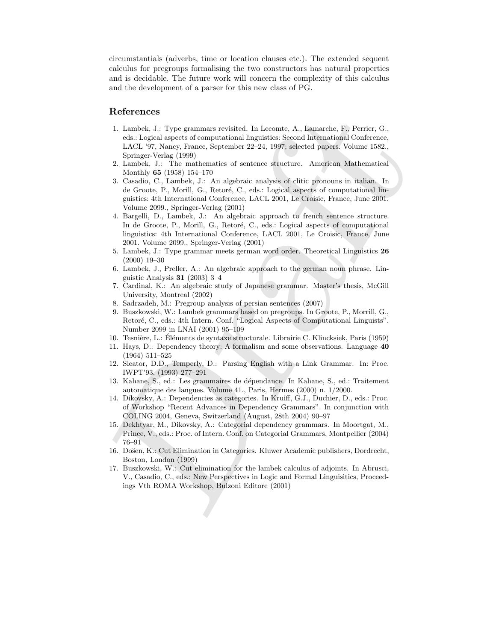circumstantials (adverbs, time or location clauses etc.). The extended sequent calculus for pregroups formalising the two constructors has natural properties and is decidable. The future work will concern the complexity of this calculus and the development of a parser for this new class of PG.

### References

- 1. Lambek, J.: Type grammars revisited. In Lecomte, A., Lamarche, F., Perrier, G., eds.: Logical aspects of computational linguistics: Second International Conference, LACL '97, Nancy, France, September 22–24, 1997; selected papers. Volume 1582., Springer-Verlag (1999)
- 2. Lambek, J.: The mathematics of sentence structure. American Mathematical Monthly 65 (1958) 154–170
- 3. Casadio, C., Lambek, J.: An algebraic analysis of clitic pronouns in italian. In de Groote, P., Morill, G., Retoré, C., eds.: Logical aspects of computational linguistics: 4th International Conference, LACL 2001, Le Croisic, France, June 2001. Volume 2099., Springer-Verlag (2001)
- References<br>
1. Lauden, J. S. Type grammars revisited. In Leconde, A., Laudente, F., Perrier, G., Laudente, 1.3, Perrier of computational biograics Second International Conference,<br>
1. Secondary and the material contributi 4. Bargelli, D., Lambek, J.: An algebraic approach to french sentence structure. In de Groote, P., Morill, G., Retoré, C., eds.: Logical aspects of computational linguistics: 4th International Conference, LACL 2001, Le Croisic, France, June 2001. Volume 2099., Springer-Verlag (2001)
	- 5. Lambek, J.: Type grammar meets german word order. Theoretical Linguistics 26 (2000) 19–30
	- 6. Lambek, J., Preller, A.: An algebraic approach to the german noun phrase. Linguistic Analysis 31 (2003) 3–4
	- 7. Cardinal, K.: An algebraic study of Japanese grammar. Master's thesis, McGill University, Montreal (2002)
	- 8. Sadrzadeh, M.: Pregroup analysis of persian sentences (2007)
	- 9. Buszkowski, W.: Lambek grammars based on pregroups. In Groote, P., Morrill, G., Retoré, C., eds.: 4th Intern. Conf. "Logical Aspects of Computational Linguists". Number 2099 in LNAI (2001) 95–109
	- 10. Tesnière, L.: Éléments de syntaxe structurale. Librairie C. Klincksiek, Paris (1959)
	- 11. Hays, D.: Dependency theory: A formalism and some observations. Language 40 (1964) 511–525
	- 12. Sleator, D.D., Temperly, D.: Parsing English with a Link Grammar. In: Proc. IWPT'93. (1993) 277–291
	- 13. Kahane, S., ed.: Les grammaires de dépendance. In Kahane, S., ed.: Traitement automatique des langues. Volume 41., Paris, Hermes (2000) n. 1/2000.
	- 14. Dikovsky, A.: Dependencies as categories. In Kruiff, G.J., Duchier, D., eds.: Proc. of Workshop "Recent Advances in Dependency Grammars". In conjunction with COLING 2004, Geneva, Switzerland (August, 28th 2004) 90–97
	- 15. Dekhtyar, M., Dikovsky, A.: Categorial dependency grammars. In Moortgat, M., Prince, V., eds.: Proc. of Intern. Conf. on Categorial Grammars, Montpellier (2004) 76–91
	- 16. Do˘sen, K.: Cut Elimination in Categories. Kluwer Academic publishers, Dordrecht, Boston, London (1999)
	- 17. Buszkowski, W.: Cut elimination for the lambek calculus of adjoints. In Abrusci, V., Casadio, C., eds.: New Perspectives in Logic and Formal Linguisitics, Proceedings Vth ROMA Workshop, Bulzoni Editore (2001)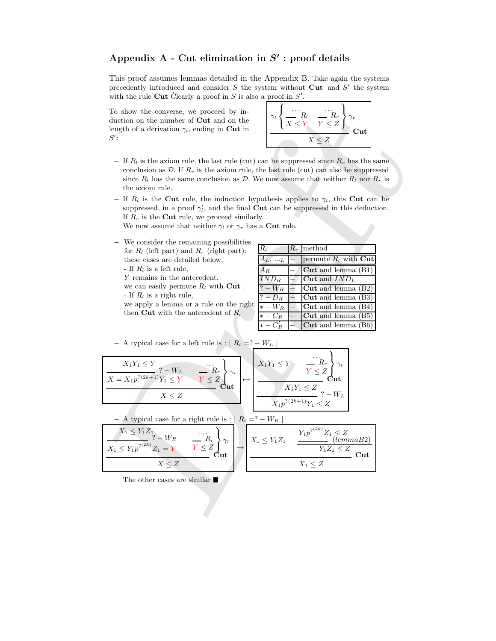## Appendix  $A$  - Cut elimination in  $S'$ : proof details

This proof assumes lemmas detailed in the Appendix B. Take again the systems precedently introduced and consider  $S$  the system without Cut and  $S'$  the system with the rule Cut Clearly a proof in S is also a proof in  $S'$ .

To show the converse, we proceed by induction on the number of Cut and on the length of a derivation  $\gamma_l$ , ending in Cut in  $S^{\prime}$ :



- If  $R_l$  is the axiom rule, the last rule (cut) can be suppressed since  $R_r$  has the same conclusion as  $\mathcal{D}$ . If  $R_r$  is the axiom rule, the last rule (cut) can also be suppressed since  $R_l$  has the same conclusion as D. We now assume that neither  $R_l$  nor  $R_r$  is the axiom rule.
- If  $R_l$  is the Cut rule, the induction hypothesis applies to  $\gamma_l$ , this Cut can be suppressed, in a proof  $\gamma'_l$ , and the final **Cut** can be suppressed in this deduction. If  $R_r$  is the **Cut** rule, we proceed similarly.

We now assume that neither  $\gamma_l$  or  $\gamma_r$  has a Cut rule.

- We consider the remaining possibilities for  $R_l$  (left part) and  $R_r$  (right part): these cases are detailed below. - If  $R_l$  is a left rule,
	- Y remains in the antecedent,
	- we can easily permute  $R_l$  with Cut.
	- If  $R_l$  is a right rule,

we apply a lemma or a rule on the right then Cut with the antecedent of  $R_l$ 

| $R_l$              | $R_r$ method                                      |
|--------------------|---------------------------------------------------|
| $A_L,  L$          | permute $R_l$ with Cut                            |
| $A_B$              | $Cut$ and lemma $(B1)$                            |
| $\overline{IND_R}$ | Cut and $IND_L$                                   |
| $? - W_R$          | $\vert$ <b>Cut</b> and lemma $\vert$ B2 $\rangle$ |
| $? - D_R$          | Cut and lemma (B3)                                |
| $* - W_R$          | Cut and lemma $(B4)$                              |
| $* - C_R$          | Cut and lemma (B5)                                |
| $* - CD$           | $\mathbf{Cut}$ and lemma (B6)                     |

To show the converse, we proceed by in-  
duction on the number of Cut and on the  
length of a derivation 
$$
\gamma_i
$$
, ending in Cut in  
 $S^2$ :  
  
 $\gamma_i$  =  $\prod_i R_i$  is the axiom rule, the last rule (cut) can be suppressed since  $R_r$  has the same  
conclusion as  $D$ . If  $R_r$  is the axiom rule, the last rule (cut) can also be suppressed  
since  $R_i$  has the same conclusion as  $D$ . We now assume that neither  $R_i$  nor  $R_r$  is  
the axiom rule.  
If  $R_i$  is the Cut rule, the induction hypothesis applies to  $\gamma_i$ , this Cut can be  
suppressed, in a proof  $\gamma'_i$ , and the final Cut can be suppressed in this deduction.  
If  $R_r$  is the Cut rule, we proceed similarly,  
We now assume that neither  $\gamma_i$  or  $\gamma_r$  has a Cut rule.  
  
We can easily permute  $R_i$  with Cut.  
  
These cases are detailed below.  
If  $R_i$  is a left rule,  
 $Y$  remains in the antecedent,  
we apply a lemma or a rule on the right  
we apply a lemma or a rule on the right  
then Cut with the antecedent of  $R_i$   
  
we apply a lemma or a rule on the right  
 $\frac{1}{2 - D_R} = \frac{\text{Cut and lemma (B3)}}{\text{Cut and lemma (B4)}}$   
  
 $\frac{1}{2 - D_R} = \frac{\text{Cut and lemma (B4)}}$   
  
the fact with the antecedent of  $R_i$   
 $\frac{1}{2 - D_R} = \frac{\text{Cut and lemma (B5)}{\text{cut and lemma (B6)}}$   
  
 $\frac{1}{2 - D_R} = \frac{\text{Cut and lemma (B4)}}$   
  
the  $\frac{1}{2 - D_R} = \frac{\text{Cut and lemma (B5)}{\text{cut and lemma (B6)}}$   
  
 $\frac{1}{2 - D_R} = \frac{\text{Cut and lemma (B5)}{\text{cut and lemma (B6)}}$   
  
 $\frac{1}{2 - D_R} = \frac{\text{Cut and lemma (B6)}{\text{cut and lemma (B6)}}$   
  
 $\frac{1}{2 - D_R} = \frac{\text{Cut and lemma (B6)}{\text{cut and lemma (B6)}}$   
  
 $\frac{1}{2 - D_R} = \frac{\text{Cut and lemma (B6)}{\text{cut and lemma (B6)}}$   
<

– A typical case for a right rule is : [ R<sup>l</sup> =? − W<sup>R</sup> ] X<sup>1</sup> ≤ Y1Z<sup>1</sup> ? − W<sup>R</sup> X<sup>1</sup> ≤ Y1p ? (2k) Z<sup>1</sup> = Y . . . R<sup>r</sup> Y ≤ Z 9 = ; γr Cut X ≤ Z 7→ X<sup>1</sup> ≤ Y1Z<sup>1</sup> Y1p ? (2k) Z<sup>1</sup> ≤ Z (lemmaB2) Y1Z<sup>1</sup> ≤ Z Cut X<sup>1</sup> ≤ Z

The other cases are similar  $\blacksquare$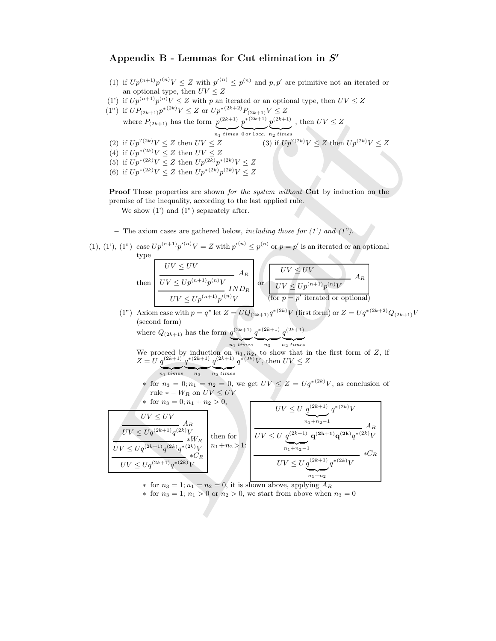## Appendix B - Lemmas for Cut elimination in  $S'$

- (1) if  $Up^{(n+1)}p'^{(n)}V \leq Z$  with  $p'^{(n)} \leq p^{(n)}$  and  $p, p'$  are primitive not an iterated or an optional type, then  $UV \leq Z$
- (1') if  $Up^{(n+1)}p^{(n)}V \leq Z$  with p an iterated or an optional type, then  $UV \leq Z$

(1") if  $UP_{(2k+1)}p^{*(2k)}V \leq Z$  or  $Up^{*(2k+2)}P_{(2k+1)}V \leq Z$ where  $P_{(2k+1)}$  has the form  $p^{(2k+1)}$  $\overbrace{n_1 \text{ times}}$  $p^{*(2k+1)}$  $\overbrace{0 \text{ or } \text{locc.}}$  $p^{(2k+1)}$  ${n_2}$  times , then  $UV \leq Z$ 

- (2) if  $Up^{?(2k)}V \leq Z$  then  $UV \leq Z$  (3) if  $Up$ <sup>?(2k)</sup> $V \le Z$  then  $Up^{(2k)}V \le Z$
- (4) if  $Up^{*(2k)}V \leq Z$  then  $UV \leq Z$
- (5) if  $Up^{*(2k)}V \leq Z$  then  $Up^{(2k)}p^{*(2k)}V \leq Z$
- (6) if  $Up^{*(2k)}V \leq Z$  then  $Up^{*(2k)}p^{(2k)}V \leq Z$

Proof These properties are shown for the system without Cut by induction on the premise of the inequality, according to the last applied rule.

We show  $(1')$  and  $(1'')$  separately after.

- The axiom cases are gathered below, including those for  $(1')$  and  $(1'')$ .
- (1), (1'), (1") case  $Up^{(n+1)}p'^{(n)}V = Z$  with  $p'^{(n)} \leq p^{(n)}$  or  $p = p'$  is an iterated or an optional type

$$
\text{then } \begin{array}{|l|l|} \hline UV \leq UV & A_R \\ \hline UV \leq Up^{(n+1)}p^{(n)}V & IND_R \\ \hline UV \leq Up^{(n+1)}p'^{(n)}V & \hline \hline \end{array} \text{or } \begin{array}{|l|l|} \hline UV \leq UV & A_R \\ \hline UV \leq Up^{(n+1)}p^{(n)}V & A_R \\ \hline \hline \end{array}
$$

(1") Axiom case with  $p = q^*$  let  $Z = UQ_{(2k+1)}q^{*(2k)}V$  (first form) or  $Z = Uq^{*(2k+2)}Q_{(2k+1)}V$ (second form)

where 
$$
Q_{(2k+1)}
$$
 has the form  $q^{(2k+1)} \underbrace{q^{*(2k+1)}}_{n_1 \text{ times}} \underbrace{q^{*(2k+1)}}_{n_3} \underbrace{q^{(2k+1)}}_{n_2 \text{ times}}$ 

We proceed by induction on  $n_1, n_2$ , to show that in the first form of Z, if  $Z = U q^{(2k+1)}$  $q^{*(2k+1)}$  $q^{(2k+1)}$  $q^{*(2k)}V$ , then  $UV \leq Z$ 

 $\overline{n_1 \text{ times}}$  $\overbrace{ }^{n_3}$  $n_2$  times \* for  $n_3 = 0; n_1 = n_2 = 0$ , we get  $UV \leq Z = Uq^{*(2k)}V$ , as conclusion of rule  $* - W_R$  on  $UV \leq UV$ 

(1") if 
$$
UP_{(2k+1)}p^{*(x,x)/} \leq Z
$$
 or  $Up^{*(2k+1)} \tbinom{2(k+1)}{k} \tbinom{2(k+1)}{k} \tbinom{2(k+1)}{k} \tbinom{2(k+1)}{k} \tbinom{2(k+1)}{k} \tbinom{2(k+1)}{k} \tbinom{2(k+1)}{k} \tbinom{2(k)}{k} \leq Z$   
\n(2) if  $Up^{7(2k)}V \leq Z$  then  $UV \leq Z$   
\n(3) if  $Up^{7(2k)}V \leq Z$  then  $UV \leq Z$   
\n(5) if  $Up^{*(2k)}V \leq Z$  then  $Up^{*(2k)}p^{*(2k)}V \leq Z$   
\n(6) if  $Up^{*(2k)}V \leq Z$  then  $Up^{*(2k)}p^{*(2k)}V \leq Z$   
\n**Proof** These properties are shown for the system without **Cut** by induction on the  
\npremise of the inequality, according to the last applied rule.  
\nWe show (1') and (1'') separately after.  
\n- The axiom cases are gathered below, including those for (1') and (1'').  
\n(1'), (1'') case  $Up^{(n+1)}p^{(n)}V = Z$  with  $p'^{(n)} \leq p^{(n)}$  or  $p = p'$  is an iterated or an optional  
\ntype  
\n
$$
\frac{UV \leq UV}{UV \leq Up^{(n+1)}p^{(n)}V} \frac{A_R}{k}
$$
\n
$$
\frac{UV \leq Up^{(n+1)}p^{(n)}V}{UV \leq Up^{(n+1)}p^{(n)}V} \frac{P}{k}
$$
\n(1'') Axiom case with  $p = q^*$  let  $Z = UQ_{(2k+1)}q^{*(2k)}V$  (first form) or  $Z = Uq^{*(2k+2)}Q_{(2k+1)}$   
\n(second form)  
\nwhere  $Q_{(2k+1)}$  has the form  $\underbrace{q^{(2k+1)}}_{q^{*(2k+1)}} \underbrace{q^{*(2k+1)}}_{q^{*(2k+1)}} q^{((2k+1)})} \underbrace{q^{((2k+1)})}_{q^{((2k+1))}} q^{((2k+1))}$   
\nWe proceed by induction

 $\ast$  for  $n_3 = 1; n_1 = n_2 = 0$ , it is shown above, applying  $A_R$ 

 $*$  for  $n_3 = 1$ ;  $n_1 > 0$  or  $n_2 > 0$ , we start from above when  $n_3 = 0$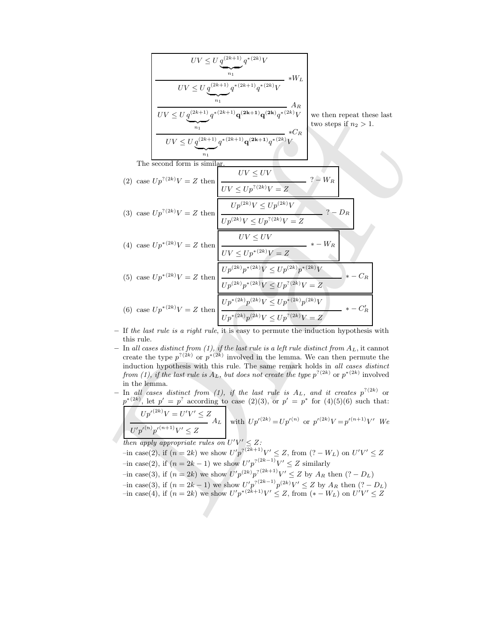Draft UV ≤ U q (2k+1) | {z } n<sup>1</sup> q ∗(2k) V ∗W<sup>L</sup> UV ≤ U q (2k+1) | {z } n<sup>1</sup> q ∗(2k+1) q ∗(2k) V A<sup>R</sup> UV ≤ U q (2k+1) | {z } n<sup>1</sup> q <sup>∗</sup>(2k+1)q (2k+1)q (2k) q ∗(2k) V ∗C<sup>R</sup> UV ≤ U q (2k+1) | {z } n<sup>1</sup> q <sup>∗</sup>(2k+1)q (2k+1) q ∗(2k) V we then repeat these last two steps if n<sup>2</sup> > 1. The second form is similar. (2) case Up ?(2k)V = Z then UV ≤ UV ? − W<sup>R</sup> UV ≤ Up ?(2k)V = Z (3) case Up ?(2k)V = Z then Up (2k)V ≤ Up (2k)V ? − D<sup>R</sup> Up (2k)V ≤ Up ?(2k)V = Z (4) case Up <sup>∗</sup>(2k)V = Z then UV ≤ UV ∗ − W<sup>R</sup> UV ≤ Up <sup>∗</sup>(2k)V = Z (5) case Up <sup>∗</sup>(2k)V = Z then Up (2k) p <sup>∗</sup>(2k)V ≤ Up (2k) p <sup>∗</sup>(2k)V ∗ − C<sup>R</sup> Up (2k) p <sup>∗</sup>(2k)V ≤ Up ?(2k)V = Z (6) case Up <sup>∗</sup>(2k)V = Z then Up ∗(2k) p (2k)V ≤ Up ∗(2k) p (2k)V ∗ − C 0 R Up ∗(2k) p (2k)V ≤ Up ?(2k)V = Z

- If the last rule is a right rule, it is easy to permute the induction hypothesis with this rule.
- In all cases distinct from (1), if the last rule is a left rule distinct from  $A_L$ , it cannot create the type  $p^{(2k)}$  or  $p^{*(2k)}$  involved in the lemma. We can then permute the induction hypothesis with this rule. The same remark holds in all cases distinct from (1), if the last rule is  $A_L$ , but does not create the type  $p^{?(2k)}$  or  $p^{*(2k)}$  involved in the lemma.
- $-$  In all cases distinct from (1), if the last rule is  $A_L$ , and it creates  $p^{? (2k)}$  or  $p^{*(2k)}$ , let  $p' = p^2$  according to case (2)(3), or  $p' = p^*$  for (4)(5)(6) such that:

$$
\boxed{U'p'^{(2k)}V = U'V' \le Z \atop U'p'^{(n)}p'^{(n+1)}V' \le Z} A_L
$$
 with  $Up'^{(2k)} = Up'^{(n)}$  or  $p'^{(2k)}V = p'^{(n+1)}V'$  We

then apply appropriate rules on  $U'V' \leq Z$ :

- $(i=1, 2k)$  we show  $U'p^{2(2k+1)}V' \leq Z$ , from  $(2-W_L)$  on  $U'V' \leq Z$  $\text{---}\text{in case}(2)$ , if  $(n = 2k - 1)$  we show  $U'p^{2(2k-1)}V' \leq Z$  similarly
- 
- $\gamma$  = in case(3), if  $(n = 2k)$  we show  $U'p^{(2k)}p^{(2k+1)}V' \leq Z$  by  $A_R$  then  $(2 D_L)$
- $-i$ n case(3), if (*n* = 2*k* − 1) we show  $U'p^{(2k-1)}p^{(2k)}V' \le Z$  by  $A_R$  then (? − D<sub>L</sub>)  $-i$ n case(4), if  $(n = 2k)$  we show  $U'p^{*(2k+1)}V' \leq Z$ , from  $(* - W_L)$  on  $U'V' \leq Z$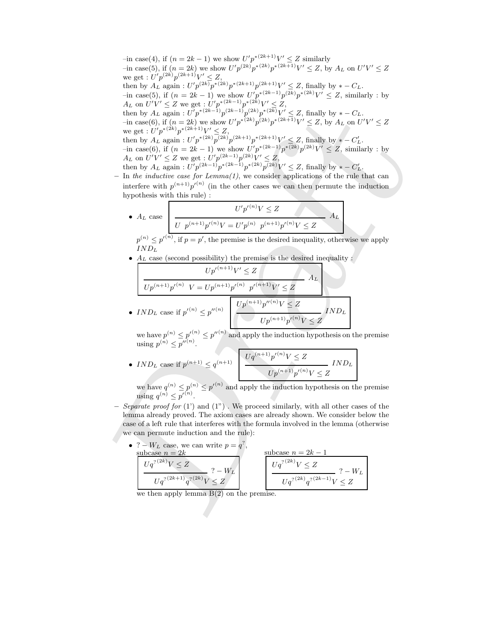then by  $A_1$ , again,  $U_T^{p/(2\alpha)}V^{\alpha(2\alpha)}V^{\alpha(2\alpha)}V^{\alpha(2\alpha)}V^{\alpha(2\alpha)}V^{\alpha(2\alpha)}V^{\alpha(2\alpha)}V^{\alpha(2\alpha)}V^{\alpha(2\alpha)}V^{\alpha(2\alpha)}V^{\alpha(2\alpha)}V^{\alpha(2\alpha)}V^{\alpha(2\alpha)}V^{\alpha(2\alpha)}V^{\alpha(2\alpha)}V^{\alpha(2\alpha)}V^{\alpha(2\alpha)}V^{\alpha(2\alpha)}V^{\alpha(2\alpha)}V^{\alpha(2\alpha)}V^{\alpha(2\alpha)}V^{\alpha(2\alpha)}$  $-i$ n case(4), if (*n* = 2*k* − 1) we show  $U'p^{*(2k+1)}V' \leq Z$  similarly  $-i$ n case(5), if  $(n = 2k)$  we show  $U'p^{(2k)}p^{*(2k)}p^{*(2k+1)}V' \leq Z$ , by  $A_L$  on  $U'V' \leq Z$ we get :  $U'p^{(2k)}p^{(2k+1)}V' \leq Z$ , then by  $A_L$  again :  $U'p^{(2k)}p^{*(2k)}p^{*(2k+1)}p^{(2k+1)}V' \leq Z$ , finally by  $*-C_L$ .  $-i$ n case(5), if (*n* = 2*k* − 1) we show  $U'p^{*(2k-1)}p^{(2k)}p^{*(2k)}V' ≤ Z$ , similarly : by  $A_L$  on  $U'V' \leq Z$  we get :  $U'p^{*(2k-1)}p^{*(2k)}V' \leq Z$ , then by  $A_L$  again :  $U'p^{*(2k-1)}p^{(2k-1)}p^{(2k)}p^{*(2k)}V' \leq Z$ , finally by  $*-C_L$ .  $-i$ n case(6), if  $(n = 2k)$  we show  $U'p^{*(2k)}p^{(2k)}p^{*(2k+1)}V' \leq Z$ , by  $A_L$  on  $U'V' \leq Z$ we get :  $U'p^{*(2k)}p^{*(2k+1)}V' \leq Z$ , then by  $A_L$  again :  $U'p^{*(2k)}p^{(2k)}p^{(2k+1)}p^{*(2k+1)}V' \leq Z$ , finally by  $*-C'_L$ .  $-i$ n case(6), if (*n* = 2*k* − 1) we show  $U'p^{*(2k-1)}p^{*(2k)}p^{(2k)}V' \leq Z$ , similarly : by  $A_L$  on  $U'V' \leq Z$  we get :  $U'p^{(2k-1)}p^{(2k)}V' \leq Z$ , then by  $A_L$  again :  $U'p^{(2k-1)}p^{*(2k-1)}p^{*(2k)}p^{(2k)}V' \leq Z$ , finally by  $*-C'_L$ .

 $-$  In the inductive case for Lemma $(1)$ , we consider applications of the rule that can interfere with  $p^{(n+1)}p'^{(n)}$  (in the other cases we can then permute the induction hypothesis with this rule) :

• 
$$
A_L
$$
 case 
$$
\frac{U' p'^{(n)} V \le Z}{U p^{(n+1)} p'^{(n)} V = U' p^{(n)} p^{(n+1)} p'^{(n)} V \le Z}
$$

 $p^{(n)} \leq p'^{(n)}$ , if  $p = p'$ , the premise is the desired inequality, otherwise we apply  $IND_L$ 

 $\bullet$   $\mathcal{A}_L$  case (second possibility) the premise is the desired inequality :

$$
Up'^{(n+1)}V' \leq Z
$$
  
\n
$$
Up^{(n+1)}p'^{(n)} V = Up^{(n+1)}p'^{(n)} p'^{(n+1)}V' \leq Z
$$
  
\n• 
$$
IND_L \cose \text{ if } p'^{(n)} \leq p''^{(n)} \qquad \qquad \frac{Up^{(n+1)}p''^{(n)}V \leq Z}{Up^{(n+1)}p''^{(n)}V \leq Z} IND_L
$$

we have  $p^{(n)} \leq p''^{(n)} \leq p''^{(n)}$  and apply the induction hypothesis on the premise using  $p^{(n)} \leq p''^{(n)}$ .

• *IND<sub>L</sub>* case if 
$$
p^{(n+1)} \leq q^{(n+1)}
$$
 
$$
\frac{Uq^{(n+1)}p'^{(n)}V \leq Z}{Up^{(n+1)}p'^{(n)}V \leq Z} \text{INDL}
$$

we have  $q^{(n)} \leq p^{(n)} \leq p'^{(n)}$  and apply the induction hypothesis on the premise using  $q^{(n)} \leq p'^{(n)}$ .

- Separate proof for  $(1')$  and  $(1'')$ . We proceed similarly, with all other cases of the lemma already proved. The axiom cases are already shown. We consider below the case of a left rule that interferes with the formula involved in the lemma (otherwise we can permute induction and the rule):
	- ?  $W_L$  case, we can write  $p = q^2$ , subcase  $n = 2k$  $Uq^{7\,(2k)}V\leq Z$  $? - W_L$  $Uq^{7(2k+1)}q^{7(2k)}V \leq Z$ subcase  $n = 2k - 1$  $Uq^{7\, (2k)}V\leq Z$  $? - W_L$  $Uq^{(2k)}q^{(2k-1)}V \leq Z$

we then apply lemma  $B(2)$  on the premise